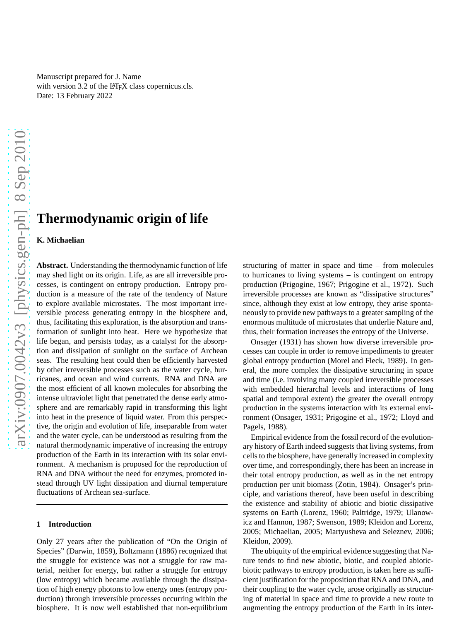Manuscript prepared for J. Name with version 3.2 of the  $E$ F<sub>F</sub>X class copernicus.cls. Date: 13 February 2022

# **Thermodynamic origin of life**

# **K. Michaelian**

**Abstract.** Understanding the thermodynamic function of life may shed light on its origin. Life, as are all irreversible processes, is contingent on entropy production. Entropy production is a measure of the rate of the tendency of Nature to explore available microstates. The most important irreversible process generating entropy in the biosphere and, thus, facilitating this exploration, is the absorption and transformation of sunlight into heat. Here we hypothesize that life began, and persists today, as a catalyst for the absorption and dissipation of sunlight on the surface of Archean seas. The resulting heat could then be efficiently harvested by other irreversible processes such as the water cycle, hurricanes, and ocean and wind currents. RNA and DNA are the most efficient of all known molecules for absorbing the intense ultraviolet light that penetrated the dense early atmosphere and are remarkably rapid in transforming this light into heat in the presence of liquid water. From this perspective, the origin and evolution of life, inseparable from water and the water cycle, can be understood as resulting from the natural thermodynamic imperative of increasing the entropy production of the Earth in its interaction with its solar environment. A mechanism is proposed for the reproduction of RNA and DNA without the need for enzymes, promoted instead through UV light dissipation and diurnal temperature fluctuations of Archean sea-surface.

#### **1 Introduction**

Only 27 years after the publication of "On the Origin of Species" (Darwin, 1859), Boltzmann (1886) recognized that the struggle for existence was not a struggle for raw material, neither for energy, but rather a struggle for entropy (low entropy) which became available through the dissipation of high energy photons to low energy ones (entropy production) through irreversible processes occurring within the biosphere. It is now well established that non-equilibrium structuring of matter in space and time – from molecules to hurricanes to living systems – is contingent on entropy production (Prigogine, 1967; Prigogine et al., 1972). Such irreversible processes are known as "dissipative structures" since, although they exist at low entropy, they arise spontaneously to provide new pathways to a greater sampling of the enormous multitude of microstates that underlie Nature and, thus, their formation increases the entropy of the Universe.

Onsager (1931) has shown how diverse irreversible processes can couple in order to remove impediments to greater global entropy production (Morel and Fleck, 1989). In general, the more complex the dissipative structuring in space and time (i.e. involving many coupled irreversible processes with embedded hierarchal levels and interactions of long spatial and temporal extent) the greater the overall entropy production in the systems interaction with its external environment (Onsager, 1931; Prigogine et al., 1972; Lloyd and Pagels, 1988).

Empirical evidence from the fossil record of the evolutionary history of Earth indeed suggests that living systems, from cells to the biosphere, have generally increased in complexity over time, and correspondingly, there has been an increase in their total entropy production, as well as in the net entropy production per unit biomass (Zotin, 1984). Onsager's principle, and variations thereof, have been useful in describing the existence and stability of abiotic and biotic dissipative systems on Earth (Lorenz, 1960; Paltridge, 1979; Ulanowicz and Hannon, 1987; Swenson, 1989; Kleidon and Lorenz, 2005; Michaelian, 2005; Martyusheva and Seleznev, 2006; Kleidon, 2009).

The ubiquity of the empirical evidence suggesting that Nature tends to find new abiotic, biotic, and coupled abioticbiotic pathways to entropy production, is taken here as sufficient justification for the proposition that RNA and DNA, and their coupling to the water cycle, arose originally as structuring of material in space and time to provide a new route to augmenting the entropy production of the Earth in its inter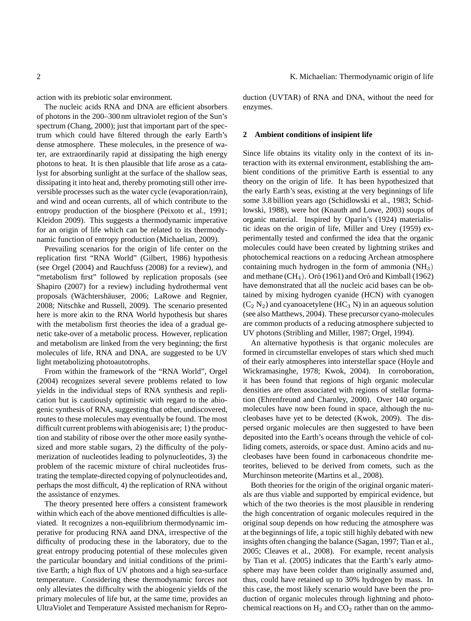action with its prebiotic solar environment.

The nucleic acids RNA and DNA are efficient absorbers of photons in the 200–300 nm ultraviolet region of the Sun's spectrum (Chang, 2000); just that important part of the spectrum which could have filtered through the early Earth's dense atmosphere. These molecules, in the presence of water, are extraordinarily rapid at dissipating the high energy photons to heat. It is then plausible that life arose as a catalyst for absorbing sunlight at the surface of the shallow seas, dissipating it into heat and, thereby promoting still other irreversible processes such as the water cycle (evaporation/rain), and wind and ocean currents, all of which contribute to the entropy production of the biosphere (Peixoto et al., 1991; Kleidon 2009). This suggests a thermodynamic imperative for an origin of life which can be related to its thermodynamic function of entropy production (Michaelian, 2009).

Prevailing scenarios for the origin of life center on the replication first "RNA World" (Gilbert, 1986) hypothesis (see Orgel (2004) and Rauchfuss (2008) for a review), and "metabolism first" followed by replication proposals (see Shapiro (2007) for a review) including hydrothermal vent proposals (Wächtershäuser, 2006; LaRowe and Regnier, 2008; Nitschke and Russell, 2009). The scenario presented here is more akin to the RNA World hypothesis but shares with the metabolism first theories the idea of a gradual genetic take-over of a metabolic process. However, replication and metabolism are linked from the very beginning; the first molecules of life, RNA and DNA, are suggested to be UV light metabolizing photoautotrophs.

From within the framework of the "RNA World", Orgel (2004) recognizes several severe problems related to low yields in the individual steps of RNA synthesis and replication but is cautiously optimistic with regard to the abiogenic synthesis of RNA, suggesting that other, undiscovered, routes to these molecules may eventually be found. The most difficult current problems with abiogenisis are; 1) the production and stability of ribose over the other more easily synthesized and more stable sugars, 2) the difficulty of the polymerization of nucleotides leading to polynucleotides, 3) the problem of the racemic mixture of chiral nucleotides frustrating the template-directed copying of polynucleotides and, perhaps the most difficult, 4) the replication of RNA without the assistance of enzymes.

The theory presented here offers a consistent framework within which each of the above mentioned difficulties is alleviated. It recognizes a non-equilibrium thermodynamic imperative for producing RNA aand DNA, irrespective of the difficulty of producing these in the laboratory, due to the great entropy producing potential of these molecules given the particular boundary and initial conditions of the primitive Earth; a high flux of UV photons and a high sea-surface temperature. Considering these thermodynamic forces not only alleviates the difficulty with the abiogenic yields of the primary molecules of life but, at the same time, provides an UltraViolet and Temperature Assisted mechanism for Reproduction (UVTAR) of RNA and DNA, without the need for enzymes.

#### **2 Ambient conditions of insipient life**

Since life obtains its vitality only in the context of its interaction with its external environment, establishing the ambient conditions of the primitive Earth is essential to any theory on the origin of life. It has been hypothesized that the early Earth's seas, existing at the very beginnings of life some 3.8 billion years ago (Schidlowski et al., 1983; Schidlowski, 1988), were hot (Knauth and Lowe, 2003) soups of organic material. Inspired by Oparin's (1924) materialistic ideas on the origin of life, Miller and Urey (1959) experimentally tested and confirmed the idea that the organic molecules could have been created by lightning strikes and photochemical reactions on a reducing Archean atmosphere containing much hydrogen in the form of ammonia  $(NH_3)$ and methane  $(CH_4)$ . Oró (1961) and Oró and Kimball (1962) have demonstrated that all the nucleic acid bases can be obtained by mixing hydrogen cyanide (HCN) with cyanogen  $(C_2 N_2)$  and cyanoacetylene (HC<sub>3</sub> N) in an aqueous solution (see also Matthews, 2004). These precursor cyano-molecules are common products of a reducing atmosphere subjected to UV photons (Stribling and Miller, 1987; Orgel, 1994).

An alternative hypothesis is that organic molecules are formed in circumstellar envelopes of stars which shed much of their early atmospheres into interstellar space (Hoyle and Wickramasinghe, 1978; Kwok, 2004). In corroboration, it has been found that regions of high organic molecular densities are often associated with regions of stellar formation (Ehrenfreund and Charnley, 2000). Over 140 organic molecules have now been found in space, although the nucleobases have yet to be detected (Kwok, 2009). The dispersed organic molecules are then suggested to have been deposited into the Earth's oceans through the vehicle of colliding comets, asteroids, or space dust. Amino acids and nucleobases have been found in carbonaceous chondrite meteorites, believed to be derived from comets, such as the Murchinson meteorite (Martins et al., 2008).

Both theories for the origin of the original organic materials are thus viable and supported by empirical evidence, but which of the two theories is the most plausible in rendering the high concentration of organic molecules required in the original soup depends on how reducing the atmosphere was at the beginnings of life, a topic still highly debated with new insights often changing the balance (Sagan, 1997; Tian et al., 2005; Cleaves et al., 2008). For example, recent analysis by Tian et al. (2005) indicates that the Earth's early atmosphere may have been colder than originally assumed and, thus, could have retained up to 30% hydrogen by mass. In this case, the most likely scenario would have been the production of organic molecules through lightning and photochemical reactions on  $H_2$  and  $CO_2$  rather than on the ammo-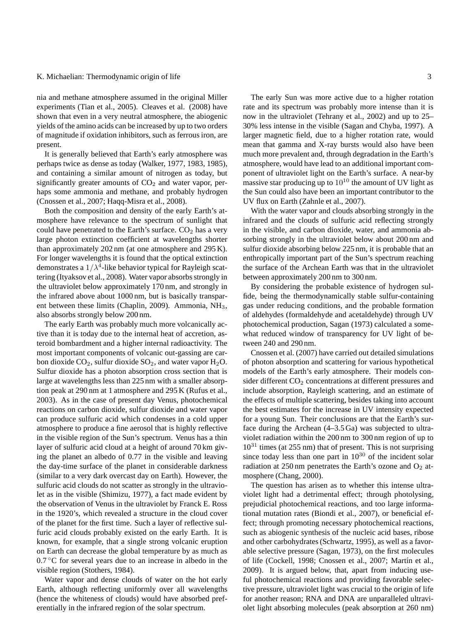nia and methane atmosphere assumed in the original Miller experiments (Tian et al., 2005). Cleaves et al. (2008) have shown that even in a very neutral atmosphere, the abiogenic yields of the amino acids can be increased by up to two orders of magnitude if oxidation inhibitors, such as ferrous iron, are present.

It is generally believed that Earth's early atmosphere was perhaps twice as dense as today (Walker, 1977, 1983, 1985), and containing a similar amount of nitrogen as today, but significantly greater amounts of  $CO<sub>2</sub>$  and water vapor, perhaps some ammonia and methane, and probably hydrogen (Cnossen et al., 2007; Haqq-Misra et al., 2008).

Both the composition and density of the early Earth's atmosphere have relevance to the spectrum of sunlight that could have penetrated to the Earth's surface.  $CO<sub>2</sub>$  has a very large photon extinction coefficient at wavelengths shorter than approximately 202 nm (at one atmosphere and 295 K). For longer wavelengths it is found that the optical extinction demonstrates a  $1/\lambda^4$ -like behavior typical for Rayleigh scattering (Ityaksov et al., 2008). Water vapor absorbs strongly in the ultraviolet below approximately 170 nm, and strongly in the infrared above about 1000 nm, but is basically transparent between these limits (Chaplin, 2009). Ammonia,  $NH<sub>3</sub>$ , also absorbs strongly below 200 nm.

The early Earth was probably much more volcanically active than it is today due to the internal heat of accretion, asteroid bombardment and a higher internal radioactivity. The most important components of volcanic out-gassing are carbon dioxide  $CO_2$ , sulfur dioxide  $SO_2$ , and water vapor  $H_2O$ . Sulfur dioxide has a photon absorption cross section that is large at wavelengths less than 225 nm with a smaller absorption peak at 290 nm at 1 atmosphere and 295 K (Rufus et al., 2003). As in the case of present day Venus, photochemical reactions on carbon dioxide, sulfur dioxide and water vapor can produce sulfuric acid which condenses in a cold upper atmosphere to produce a fine aerosol that is highly reflective in the visible region of the Sun's spectrum. Venus has a thin layer of sulfuric acid cloud at a height of around 70 km giving the planet an albedo of 0.77 in the visible and leaving the day-time surface of the planet in considerable darkness (similar to a very dark overcast day on Earth). However, the sulfuric acid clouds do not scatter as strongly in the ultraviolet as in the visible (Shimizu, 1977), a fact made evident by the observation of Venus in the ultraviolet by Franck E. Ross in the 1920's, which revealed a structure in the cloud cover of the planet for the first time. Such a layer of reflective sulfuric acid clouds probably existed on the early Earth. It is known, for example, that a single strong volcanic eruption on Earth can decrease the global temperature by as much as  $0.7\degree$ C for several years due to an increase in albedo in the visible region (Stothers, 1984).

Water vapor and dense clouds of water on the hot early Earth, although reflecting uniformly over all wavelengths (hence the whiteness of clouds) would have absorbed preferentially in the infrared region of the solar spectrum.

The early Sun was more active due to a higher rotation rate and its spectrum was probably more intense than it is now in the ultraviolet (Tehrany et al., 2002) and up to 25– 30% less intense in the visible (Sagan and Chyba, 1997). A larger magnetic field, due to a higher rotation rate, would mean that gamma and X-ray bursts would also have been much more prevalent and, through degradation in the Earth's atmosphere, would have lead to an additional important component of ultraviolet light on the Earth's surface. A near-by massive star producing up to  $10^{10}$  the amount of UV light as the Sun could also have been an important contributor to the UV flux on Earth (Zahnle et al., 2007).

With the water vapor and clouds absorbing strongly in the infrared and the clouds of sulfuric acid reflecting strongly in the visible, and carbon dioxide, water, and ammonia absorbing strongly in the ultraviolet below about 200 nm and sulfur dioxide absorbing below 225 nm, it is probable that an enthropically important part of the Sun's spectrum reaching the surface of the Archean Earth was that in the ultraviolet between approximately 200 nm to 300 nm.

By considering the probable existence of hydrogen sulfide, being the thermodynamically stable sulfur-containing gas under reducing conditions, and the probable formation of aldehydes (formaldehyde and acetaldehyde) through UV photochemical production, Sagan (1973) calculated a somewhat reduced window of transparency for UV light of between 240 and 290 nm.

Cnossen et al. (2007) have carried out detailed simulations of photon absorption and scattering for various hypothetical models of the Earth's early atmosphere. Their models consider different CO<sub>2</sub> concentrations at different pressures and include absorption, Rayleigh scattering, and an estimate of the effects of multiple scattering, besides taking into account the best estimates for the increase in UV intensity expected for a young Sun. Their conclusions are that the Earth's surface during the Archean (4–3.5 Ga) was subjected to ultraviolet radiation within the 200 nm to 300 nm region of up to  $10^{31}$  times (at 255 nm) that of present. This is not surprising since today less than one part in  $10^{30}$  of the incident solar radiation at  $250 \text{ nm}$  penetrates the Earth's ozone and  $O_2$  atmosphere (Chang, 2000).

The question has arisen as to whether this intense ultraviolet light had a detrimental effect; through photolysing, prejudicial photochemical reactions, and too large informational mutation rates (Biondi et al., 2007), or beneficial effect; through promoting necessary photochemical reactions, such as abiogenic synthesis of the nucleic acid bases, ribose and other carbohydrates (Schwartz, 1995), as well as a favorable selective pressure (Sagan, 1973), on the first molecules of life (Cockell, 1998; Cnossen et al., 2007; Martín et al., 2009). It is argued below, that, apart from inducing useful photochemical reactions and providing favorable selective pressure, ultraviolet light was crucial to the origin of life for another reason; RNA and DNA are unparalleled ultraviolet light absorbing molecules (peak absorption at 260 nm)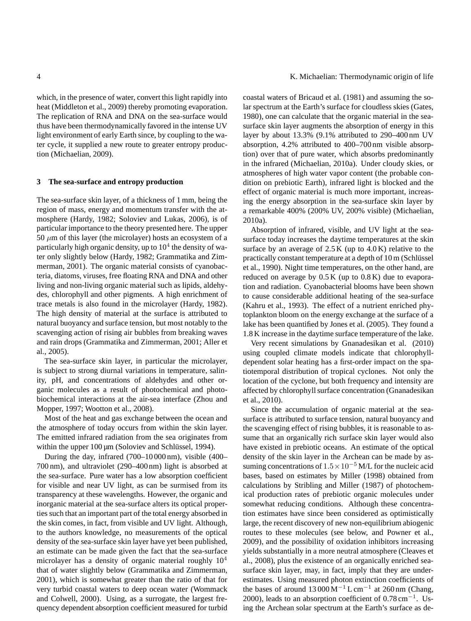which, in the presence of water, convert this light rapidly into heat (Middleton et al., 2009) thereby promoting evaporation. The replication of RNA and DNA on the sea-surface would thus have been thermodynamically favored in the intense UV light environment of early Earth since, by coupling to the water cycle, it supplied a new route to greater entropy production (Michaelian, 2009).

#### **3 The sea-surface and entropy production**

The sea-surface skin layer, of a thickness of 1 mm, being the region of mass, energy and momentum transfer with the atmosphere (Hardy, 1982; Soloviev and Lukas, 2006), is of particular importance to the theory presented here. The upper 50  $\mu$ m of this layer (the microlayer) hosts an ecosystem of a particularly high organic density, up to  $10^4$  the density of water only slightly below (Hardy, 1982; Grammatika and Zimmerman, 2001). The organic material consists of cyanobacteria, diatoms, viruses, free floating RNA and DNA and other living and non-living organic material such as lipids, aldehydes, chlorophyll and other pigments. A high enrichment of trace metals is also found in the microlayer (Hardy, 1982). The high density of material at the surface is attributed to natural buoyancy and surface tension, but most notably to the scavenging action of rising air bubbles from breaking waves and rain drops (Grammatika and Zimmerman, 2001; Aller et al., 2005).

The sea-surface skin layer, in particular the microlayer, is subject to strong diurnal variations in temperature, salinity, pH, and concentrations of aldehydes and other organic molecules as a result of photochemical and photobiochemical interactions at the air-sea interface (Zhou and Mopper, 1997; Wootton et al., 2008).

Most of the heat and gas exchange between the ocean and the atmosphere of today occurs from within the skin layer. The emitted infrared radiation from the sea originates from within the upper  $100 \mu m$  (Soloviev and Schlüssel, 1994).

During the day, infrared (700–10 000 nm), visible (400– 700 nm), and ultraviolet (290–400 nm) light is absorbed at the sea-surface. Pure water has a low absorption coefficient for visible and near UV light, as can be surmised from its transparency at these wavelengths. However, the organic and inorganic material at the sea-surface alters its optical properties such that an important part of the total energy absorbed in the skin comes, in fact, from visible and UV light. Although, to the authors knowledge, no measurements of the optical density of the sea-surface skin layer have yet been published, an estimate can be made given the fact that the sea-surface microlayer has a density of organic material roughly  $10<sup>4</sup>$ that of water slightly below (Grammatika and Zimmerman, 2001), which is somewhat greater than the ratio of that for very turbid coastal waters to deep ocean water (Wommack and Colwell, 2000). Using, as a surrogate, the largest frequency dependent absorption coefficient measured for turbid

4 K. Michaelian: Thermodynamic origin of life

coastal waters of Bricaud et al. (1981) and assuming the solar spectrum at the Earth's surface for cloudless skies (Gates, 1980), one can calculate that the organic material in the seasurface skin layer augments the absorption of energy in this layer by about 13.3% (9.1% attributed to 290–400 nm UV absorption, 4.2% attributed to 400–700 nm visible absorption) over that of pure water, which absorbs predominantly in the infrared (Michaelian, 2010a). Under cloudy skies, or atmospheres of high water vapor content (the probable condition on prebiotic Earth), infrared light is blocked and the effect of organic material is much more important, increasing the energy absorption in the sea-surface skin layer by a remarkable 400% (200% UV, 200% visible) (Michaelian, 2010a).

Absorption of infrared, visible, and UV light at the seasurface today increases the daytime temperatures at the skin surface by an average of  $2.5 K$  (up to  $4.0 K$ ) relative to the practically constant temperature at a depth of 10 m (Schlüssel et al., 1990). Night time temperatures, on the other hand, are reduced on average by  $0.5 K$  (up to  $0.8 K$ ) due to evaporation and radiation. Cyanobacterial blooms have been shown to cause considerable additional heating of the sea-surface (Kahru et al., 1993). The effect of a nutrient enriched phytoplankton bloom on the energy exchange at the surface of a lake has been quantified by Jones et al. (2005). They found a 1.8 K increase in the daytime surface temperature of the lake.

Very recent simulations by Gnanadesikan et al. (2010) using coupled climate models indicate that chlorophylldependent solar heating has a first-order impact on the spatiotemporal distribution of tropical cyclones. Not only the location of the cyclone, but both frequency and intensity are affected by chlorophyll surface concentration (Gnanadesikan et al., 2010).

Since the accumulation of organic material at the seasurface is attributed to surface tension, natural buoyancy and the scavenging effect of rising bubbles, it is reasonable to assume that an organically rich surface skin layer would also have existed in prebiotic oceans. An estimate of the optical density of the skin layer in the Archean can be made by assuming concentrations of  $1.5 \times 10^{-5}$  M/L for the nucleic acid bases, based on estimates by Miller (1998) obtained from calculations by Stribling and Miller (1987) of photochemical production rates of prebiotic organic molecules under somewhat reducing conditions. Although these concentration estimates have since been considered as optimistically large, the recent discovery of new non-equilibrium abiogenic routes to these molecules (see below, and Powner et al., 2009), and the possibility of oxidation inhibitors increasing yields substantially in a more neutral atmosphere (Cleaves et al., 2008), plus the existence of an organically enriched seasurface skin layer, may, in fact, imply that they are underestimates. Using measured photon extinction coefficients of the bases of around  $13000 \,\mathrm{M}^{-1} \text{L cm}^{-1}$  at 260 nm (Chang, 2000), leads to an absorption coefficient of  $0.78 \text{ cm}^{-1}$ . Using the Archean solar spectrum at the Earth's surface as de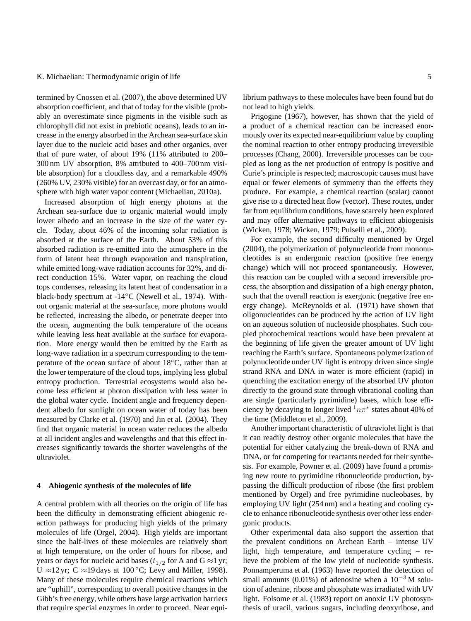termined by Cnossen et al. (2007), the above determined UV absorption coefficient, and that of today for the visible (probably an overestimate since pigments in the visible such as chlorophyll did not exist in prebiotic oceans), leads to an increase in the energy absorbed in the Archean sea-surface skin layer due to the nucleic acid bases and other organics, over that of pure water, of about 19% (11% attributed to 200– 300 nm UV absorption, 8% attributed to 400–700 nm visible absorption) for a cloudless day, and a remarkable 490% (260% UV, 230% visible) for an overcast day, or for an atmosphere with high water vapor content (Michaelian, 2010a).

Increased absorption of high energy photons at the Archean sea-surface due to organic material would imply lower albedo and an increase in the size of the water cycle. Today, about 46% of the incoming solar radiation is absorbed at the surface of the Earth. About 53% of this absorbed radiation is re-emitted into the atmosphere in the form of latent heat through evaporation and transpiration, while emitted long-wave radiation accounts for 32%, and direct conduction 15%. Water vapor, on reaching the cloud tops condenses, releasing its latent heat of condensation in a black-body spectrum at -14◦C (Newell et al., 1974). Without organic material at the sea-surface, more photons would be reflected, increasing the albedo, or penetrate deeper into the ocean, augmenting the bulk temperature of the oceans while leaving less heat available at the surface for evaporation. More energy would then be emitted by the Earth as long-wave radiation in a spectrum corresponding to the temperature of the ocean surface of about 18◦C, rather than at the lower temperature of the cloud tops, implying less global entropy production. Terrestrial ecosystems would also become less efficient at photon dissipation with less water in the global water cycle. Incident angle and frequency dependent albedo for sunlight on ocean water of today has been measured by Clarke et al. (1970) and Jin et al. (2004). They find that organic material in ocean water reduces the albedo at all incident angles and wavelengths and that this effect increases significantly towards the shorter wavelengths of the ultraviolet.

#### **4 Abiogenic synthesis of the molecules of life**

A central problem with all theories on the origin of life has been the difficulty in demonstrating efficient abiogenic reaction pathways for producing high yields of the primary molecules of life (Orgel, 2004). High yields are important since the half-lives of these molecules are relatively short at high temperature, on the order of hours for ribose, and years or days for nucleic acid bases ( $t_{1/2}$  for A and G  $\approx$  1 yr; U ≈12 yr; C ≈19 days at 100 °C; Levy and Miller, 1998). Many of these molecules require chemical reactions which are "uphill", corresponding to overall positive changes in the Gibb's free energy, while others have large activation barriers that require special enzymes in order to proceed. Near equilibrium pathways to these molecules have been found but do not lead to high yields.

Prigogine (1967), however, has shown that the yield of a product of a chemical reaction can be increased enormously over its expected near-equilibrium value by coupling the nominal reaction to other entropy producing irreversible processes (Chang, 2000). Irreversible processes can be coupled as long as the net production of entropy is positive and Curie's principle is respected; macroscopic causes must have equal or fewer elements of symmetry than the effects they produce. For example, a chemical reaction (scalar) cannot give rise to a directed heat flow (vector). These routes, under far from equilibrium conditions, have scarcely been explored and may offer alternative pathways to efficient abiogenisis (Wicken, 1978; Wicken, 1979; Pulselli et al., 2009).

For example, the second difficulty mentioned by Orgel (2004), the polymerization of polynucleotide from mononucleotides is an endergonic reaction (positive free energy change) which will not proceed spontaneously. However, this reaction can be coupled with a second irreversible process, the absorption and dissipation of a high energy photon, such that the overall reaction is exergonic (negative free energy change). McReynolds et al. (1971) have shown that oligonucleotides can be produced by the action of UV light on an aqueous solution of nucleoside phosphates. Such coupled photochemical reactions would have been prevalent at the beginning of life given the greater amount of UV light reaching the Earth's surface. Spontaneous polymerization of polynucleotide under UV light is entropy driven since single strand RNA and DNA in water is more efficient (rapid) in quenching the excitation energy of the absorbed UV photon directly to the ground state through vibrational cooling than are single (particularly pyrimidine) bases, which lose efficiency by decaying to longer lived  $\frac{1}{n\pi^*}$  states about 40% of the time (Middleton et al., 2009).

Another important characteristic of ultraviolet light is that it can readily destroy other organic molecules that have the potential for either catalyzing the break-down of RNA and DNA, or for competing for reactants needed for their synthesis. For example, Powner et al. (2009) have found a promising new route to pyrimidine ribonucleotide production, bypassing the difficult production of ribose (the first problem mentioned by Orgel) and free pyrimidine nucleobases, by employing UV light (254 nm) and a heating and cooling cycle to enhance ribonucleotide synthesis over other less endergonic products.

Other experimental data also support the assertion that the prevalent conditions on Archean Earth – intense UV light, high temperature, and temperature cycling – relieve the problem of the low yield of nucleotide synthesis. Ponnamperuma et al. (1963) have reported the detection of small amounts (0.01%) of adenosine when a  $10^{-3}$  M solution of adenine, ribose and phosphate was irradiated with UV light. Folsome et al. (1983) report on anoxic UV photosynthesis of uracil, various sugars, including deoxyribose, and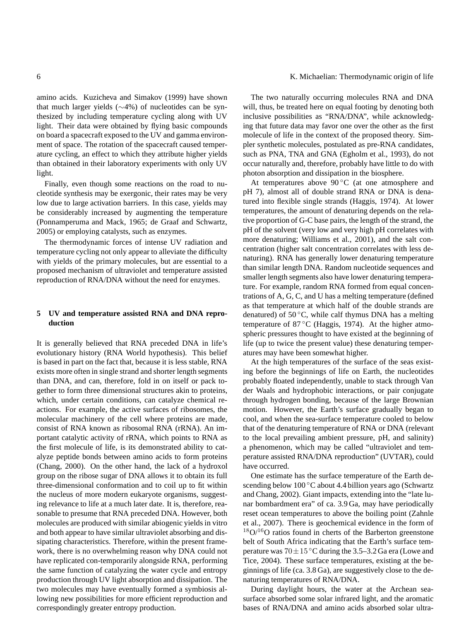amino acids. Kuzicheva and Simakov (1999) have shown that much larger yields (∼4%) of nucleotides can be synthesized by including temperature cycling along with UV light. Their data were obtained by flying basic compounds on board a spacecraft exposed to the UV and gamma environment of space. The rotation of the spacecraft caused temperature cycling, an effect to which they attribute higher yields than obtained in their laboratory experiments with only UV light.

Finally, even though some reactions on the road to nucleotide synthesis may be exergonic, their rates may be very low due to large activation barriers. In this case, yields may be considerably increased by augmenting the temperature (Ponnamperuma and Mack, 1965; de Graaf and Schwartz, 2005) or employing catalysts, such as enzymes.

The thermodynamic forces of intense UV radiation and temperature cycling not only appear to alleviate the difficulty with yields of the primary molecules, but are essential to a proposed mechanism of ultraviolet and temperature assisted reproduction of RNA/DNA without the need for enzymes.

#### **5 UV and temperature assisted RNA and DNA reproduction**

It is generally believed that RNA preceded DNA in life's evolutionary history (RNA World hypothesis). This belief is based in part on the fact that, because it is less stable, RNA exists more often in single strand and shorter length segments than DNA, and can, therefore, fold in on itself or pack together to form three dimensional structures akin to proteins, which, under certain conditions, can catalyze chemical reactions. For example, the active surfaces of ribosomes, the molecular machinery of the cell where proteins are made, consist of RNA known as ribosomal RNA (rRNA). An important catalytic activity of rRNA, which points to RNA as the first molecule of life, is its demonstrated ability to catalyze peptide bonds between amino acids to form proteins (Chang, 2000). On the other hand, the lack of a hydroxol group on the ribose sugar of DNA allows it to obtain its full three-dimensional conformation and to coil up to fit within the nucleus of more modern eukaryote organisms, suggesting relevance to life at a much later date. It is, therefore, reasonable to presume that RNA preceded DNA. However, both molecules are produced with similar abiogenic yields in vitro and both appear to have similar ultraviolet absorbing and dissipating characteristics. Therefore, within the present framework, there is no overwhelming reason why DNA could not have replicated con-temporarily alongside RNA, performing the same function of catalyzing the water cycle and entropy production through UV light absorption and dissipation. The two molecules may have eventually formed a symbiosis allowing new possibilities for more efficient reproduction and correspondingly greater entropy production.

The two naturally occurring molecules RNA and DNA will, thus, be treated here on equal footing by denoting both inclusive possibilities as "RNA/DNA", while acknowledging that future data may favor one over the other as the first molecule of life in the context of the proposed theory. Simpler synthetic molecules, postulated as pre-RNA candidates, such as PNA, TNA and GNA (Egholm et al., 1993), do not occur naturally and, therefore, probably have little to do with photon absorption and dissipation in the biosphere.

At temperatures above  $90^{\circ}$ C (at one atmosphere and pH 7), almost all of double strand RNA or DNA is denatured into flexible single strands (Haggis, 1974). At lower temperatures, the amount of denaturing depends on the relative proportion of G-C base pairs, the length of the strand, the pH of the solvent (very low and very high pH correlates with more denaturing; Williams et al., 2001), and the salt concentration (higher salt concentration correlates with less denaturing). RNA has generally lower denaturing temperature than similar length DNA. Random nucleotide sequences and smaller length segments also have lower denaturing temperature. For example, random RNA formed from equal concentrations of A, G, C, and U has a melting temperature (defined as that temperature at which half of the double strands are denatured) of  $50^{\circ}$ C, while calf thymus DNA has a melting temperature of 87 °C (Haggis, 1974). At the higher atmospheric pressures thought to have existed at the beginning of life (up to twice the present value) these denaturing temperatures may have been somewhat higher.

At the high temperatures of the surface of the seas existing before the beginnings of life on Earth, the nucleotides probably floated independently, unable to stack through Van der Waals and hydrophobic interactions, or pair conjugate through hydrogen bonding, because of the large Brownian motion. However, the Earth's surface gradually began to cool, and when the sea-surface temperature cooled to below that of the denaturing temperature of RNA or DNA (relevant to the local prevailing ambient pressure, pH, and salinity) a phenomenon, which may be called "ultraviolet and temperature assisted RNA/DNA reproduction" (UVTAR), could have occurred.

One estimate has the surface temperature of the Earth descending below 100 °C about 4.4 billion years ago (Schwartz and Chang, 2002). Giant impacts, extending into the "late lunar bombardment era" of ca. 3.9 Ga, may have periodically reset ocean temperatures to above the boiling point (Zahnle et al., 2007). There is geochemical evidence in the form of  $18O/16O$  ratios found in cherts of the Barberton greenstone belt of South Africa indicating that the Earth's surface temperature was  $70 \pm 15^{\circ}$ C during the 3.5–3.2 Ga era (Lowe and Tice, 2004). These surface temperatures, existing at the beginnings of life (ca. 3.8 Ga), are suggestively close to the denaturing temperatures of RNA/DNA.

During daylight hours, the water at the Archean seasurface absorbed some solar infrared light, and the aromatic bases of RNA/DNA and amino acids absorbed solar ultra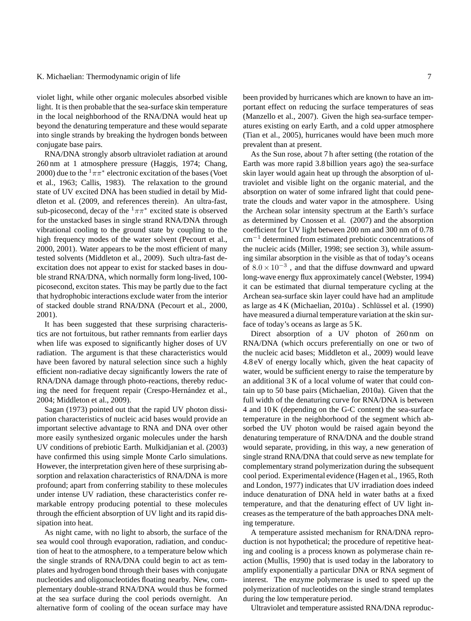violet light, while other organic molecules absorbed visible light. It is then probable that the sea-surface skin temperature in the local neighborhood of the RNA/DNA would heat up beyond the denaturing temperature and these would separate into single strands by breaking the hydrogen bonds between conjugate base pairs.

RNA/DNA strongly absorb ultraviolet radiation at around 260 nm at 1 atmosphere pressure (Haggis, 1974; Chang, 2000) due to the  $1\pi\pi^*$  electronic excitation of the bases (Voet et al., 1963; Callis, 1983). The relaxation to the ground state of UV excited DNA has been studied in detail by Middleton et al. (2009, and references therein). An ultra-fast, sub-picosecond, decay of the  $1\pi\pi^*$  excited state is observed for the unstacked bases in single strand RNA/DNA through vibrational cooling to the ground state by coupling to the high frequency modes of the water solvent (Pecourt et al., 2000, 2001). Water appears to be the most efficient of many tested solvents (Middleton et al., 2009). Such ultra-fast deexcitation does not appear to exist for stacked bases in double strand RNA/DNA, which normally form long-lived, 100 picosecond, exciton states. This may be partly due to the fact that hydrophobic interactions exclude water from the interior of stacked double strand RNA/DNA (Pecourt et al., 2000, 2001).

It has been suggested that these surprising characteristics are not fortuitous, but rather remnants from earlier days when life was exposed to significantly higher doses of UV radiation. The argument is that these characteristics would have been favored by natural selection since such a highly efficient non-radiative decay significantly lowers the rate of RNA/DNA damage through photo-reactions, thereby reducing the need for frequent repair (Crespo-Hernández et al., 2004; Middleton et al., 2009).

Sagan (1973) pointed out that the rapid UV photon dissipation characteristics of nucleic acid bases would provide an important selective advantage to RNA and DNA over other more easily synthesized organic molecules under the harsh UV conditions of prebiotic Earth. Mulkidjanian et al. (2003) have confirmed this using simple Monte Carlo simulations. However, the interpretation given here of these surprising absorption and relaxation characteristics of RNA/DNA is more profound; apart from conferring stability to these molecules under intense UV radiation, these characteristics confer remarkable entropy producing potential to these molecules through the efficient absorption of UV light and its rapid dissipation into heat.

As night came, with no light to absorb, the surface of the sea would cool through evaporation, radiation, and conduction of heat to the atmosphere, to a temperature below which the single strands of RNA/DNA could begin to act as templates and hydrogen bond through their bases with conjugate nucleotides and oligonucleotides floating nearby. New, complementary double-strand RNA/DNA would thus be formed at the sea surface during the cool periods overnight. An alternative form of cooling of the ocean surface may have been provided by hurricanes which are known to have an important effect on reducing the surface temperatures of seas (Manzello et al., 2007). Given the high sea-surface temperatures existing on early Earth, and a cold upper atmosphere (Tian et al., 2005), hurricanes would have been much more prevalent than at present.

As the Sun rose, about 7 h after setting (the rotation of the Earth was more rapid 3.8 billion years ago) the sea-surface skin layer would again heat up through the absorption of ultraviolet and visible light on the organic material, and the absorption on water of some infrared light that could penetrate the clouds and water vapor in the atmosphere. Using the Archean solar intensity spectrum at the Earth's surface as determined by Cnossen et al. (2007) and the absorption coefficient for UV light between 200 nm and 300 nm of 0.78 cm−<sup>1</sup> determined from estimated prebiotic concentrations of the nucleic acids (Miller, 1998; see section 3), while assuming similar absorption in the visible as that of today's oceans of  $8.0 \times 10^{-3}$ , and that the diffuse downward and upward long-wave energy flux approximately cancel (Webster, 1994) it can be estimated that diurnal temperature cycling at the Archean sea-surface skin layer could have had an amplitude as large as  $4K$  (Michaelian, 2010a). Schlüssel et al. (1990) have measured a diurnal temperature variation at the skin surface of today's oceans as large as 5 K.

Direct absorption of a UV photon of 260 nm on RNA/DNA (which occurs preferentially on one or two of the nucleic acid bases; Middleton et al., 2009) would leave 4.8 eV of energy locally which, given the heat capacity of water, would be sufficient energy to raise the temperature by an additional 3 K of a local volume of water that could contain up to 50 base pairs (Michaelian, 2010a). Given that the full width of the denaturing curve for RNA/DNA is between 4 and 10 K (depending on the G-C content) the sea-surface temperature in the neighborhood of the segment which absorbed the UV photon would be raised again beyond the denaturing temperature of RNA/DNA and the double strand would separate, providing, in this way, a new generation of single strand RNA/DNA that could serve as new template for complementary strand polymerization during the subsequent cool period. Experimental evidence (Hagen et al., 1965, Roth and London, 1977) indicates that UV irradiation does indeed induce denaturation of DNA held in water baths at a fixed temperature, and that the denaturing effect of UV light increases as the temperature of the bath approaches DNA melting temperature.

A temperature assisted mechanism for RNA/DNA reproduction is not hypothetical; the procedure of repetitive heating and cooling is a process known as polymerase chain reaction (Mullis, 1990) that is used today in the laboratory to amplify exponentially a particular DNA or RNA segment of interest. The enzyme polymerase is used to speed up the polymerization of nucleotides on the single strand templates during the low temperature period.

Ultraviolet and temperature assisted RNA/DNA reproduc-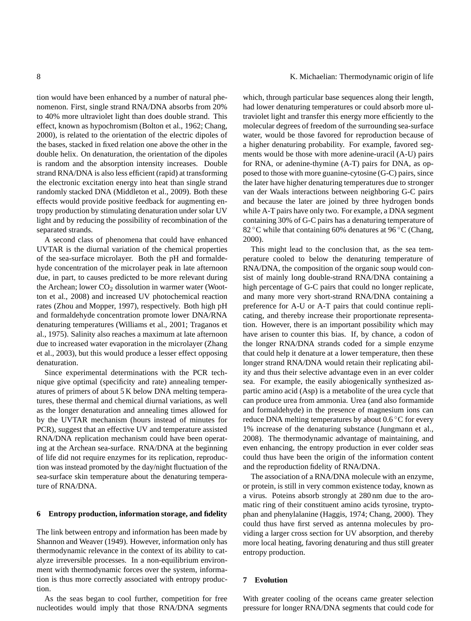tion would have been enhanced by a number of natural phenomenon. First, single strand RNA/DNA absorbs from 20% to 40% more ultraviolet light than does double strand. This effect, known as hypochromism (Bolton et al., 1962; Chang, 2000), is related to the orientation of the electric dipoles of the bases, stacked in fixed relation one above the other in the double helix. On denaturation, the orientation of the dipoles is random and the absorption intensity increases. Double strand RNA/DNA is also less efficient (rapid) at transforming the electronic excitation energy into heat than single strand randomly stacked DNA (Middleton et al., 2009). Both these effects would provide positive feedback for augmenting entropy production by stimulating denaturation under solar UV light and by reducing the possibility of recombination of the separated strands.

A second class of phenomena that could have enhanced UVTAR is the diurnal variation of the chemical properties of the sea-surface microlayer. Both the pH and formaldehyde concentration of the microlayer peak in late afternoon due, in part, to causes predicted to be more relevant during the Archean; lower  $CO<sub>2</sub>$  dissolution in warmer water (Wootton et al., 2008) and increased UV photochemical reaction rates (Zhou and Mopper, 1997), respectively. Both high pH and formaldehyde concentration promote lower DNA/RNA denaturing temperatures (Williams et al., 2001; Traganos et al., 1975). Salinity also reaches a maximum at late afternoon due to increased water evaporation in the microlayer (Zhang et al., 2003), but this would produce a lesser effect opposing denaturation.

Since experimental determinations with the PCR technique give optimal (specificity and rate) annealing temperatures of primers of about 5 K below DNA melting temperatures, these thermal and chemical diurnal variations, as well as the longer denaturation and annealing times allowed for by the UVTAR mechanism (hours instead of minutes for PCR), suggest that an effective UV and temperature assisted RNA/DNA replication mechanism could have been operating at the Archean sea-surface. RNA/DNA at the beginning of life did not require enzymes for its replication, reproduction was instead promoted by the day/night fluctuation of the sea-surface skin temperature about the denaturing temperature of RNA/DNA.

#### **6 Entropy production, information storage, and fidelity**

The link between entropy and information has been made by Shannon and Weaver (1949). However, information only has thermodynamic relevance in the context of its ability to catalyze irreversible processes. In a non-equilibrium environment with thermodynamic forces over the system, information is thus more correctly associated with entropy production.

As the seas began to cool further, competition for free nucleotides would imply that those RNA/DNA segments

8 K. Michaelian: Thermodynamic origin of life

which, through particular base sequences along their length, had lower denaturing temperatures or could absorb more ultraviolet light and transfer this energy more efficiently to the molecular degrees of freedom of the surrounding sea-surface water, would be those favored for reproduction because of a higher denaturing probability. For example, favored segments would be those with more adenine-uracil (A-U) pairs for RNA, or adenine-thymine (A-T) pairs for DNA, as opposed to those with more guanine-cytosine (G-C) pairs, since the later have higher denaturing temperatures due to stronger van der Waals interactions between neighboring G-C pairs and because the later are joined by three hydrogen bonds while A-T pairs have only two. For example, a DNA segment containing 30% of G-C pairs has a denaturing temperature of 82 °C while that containing 60% denatures at 96 °C (Chang, 2000).

This might lead to the conclusion that, as the sea temperature cooled to below the denaturing temperature of RNA/DNA, the composition of the organic soup would consist of mainly long double-strand RNA/DNA containing a high percentage of G-C pairs that could no longer replicate, and many more very short-strand RNA/DNA containing a preference for A-U or A-T pairs that could continue replicating, and thereby increase their proportionate representation. However, there is an important possibility which may have arisen to counter this bias. If, by chance, a codon of the longer RNA/DNA strands coded for a simple enzyme that could help it denature at a lower temperature, then these longer strand RNA/DNA would retain their replicating ability and thus their selective advantage even in an ever colder sea. For example, the easily abiogenically synthesized aspartic amino acid (Asp) is a metabolite of the urea cycle that can produce urea from ammonia. Urea (and also formamide and formaldehyde) in the presence of magnesium ions can reduce DNA melting temperatures by about  $0.6\degree$ C for every 1% increase of the denaturing substance (Jungmann et al., 2008). The thermodynamic advantage of maintaining, and even enhancing, the entropy production in ever colder seas could thus have been the origin of the information content and the reproduction fidelity of RNA/DNA.

The association of a RNA/DNA molecule with an enzyme, or protein, is still in very common existence today, known as a virus. Poteins absorb strongly at 280 nm due to the aromatic ring of their constituent amino acids tyrosine, tryptophan and phenylalanine (Haggis, 1974; Chang, 2000). They could thus have first served as antenna molecules by providing a larger cross section for UV absorption, and thereby more local heating, favoring denaturing and thus still greater entropy production.

# **7 Evolution**

With greater cooling of the oceans came greater selection pressure for longer RNA/DNA segments that could code for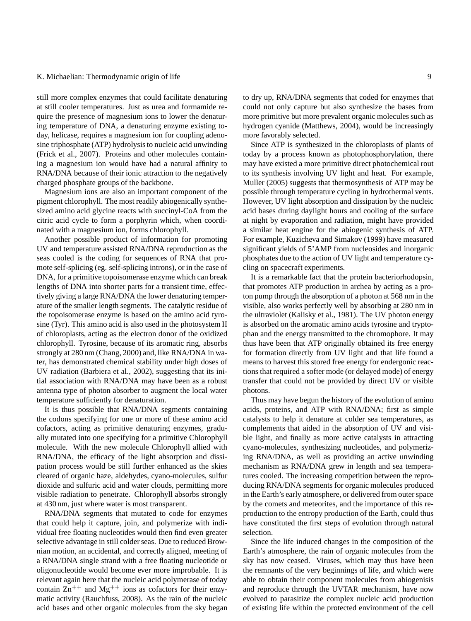still more complex enzymes that could facilitate denaturing at still cooler temperatures. Just as urea and formamide require the presence of magnesium ions to lower the denaturing temperature of DNA, a denaturing enzyme existing today, helicase, requires a magnesium ion for coupling adenosine triphosphate (ATP) hydrolysis to nucleic acid unwinding (Frick et al., 2007). Proteins and other molecules containing a magnesium ion would have had a natural affinity to RNA/DNA because of their ionic attraction to the negatively charged phosphate groups of the backbone.

Magnesium ions are also an important component of the pigment chlorophyll. The most readily abiogenically synthesized amino acid glycine reacts with succinyl-CoA from the citric acid cycle to form a porphyrin which, when coordinated with a magnesium ion, forms chlorophyll.

Another possible product of information for promoting UV and temperature assisted RNA/DNA reproduction as the seas cooled is the coding for sequences of RNA that promote self-splicing (eg. self-splicing introns), or in the case of DNA, for a primitive topoisomerase enzyme which can break lengths of DNA into shorter parts for a transient time, effectively giving a large RNA/DNA the lower denaturing temperature of the smaller length segments. The catalytic residue of the topoisomerase enzyme is based on the amino acid tyrosine (Tyr). This amino acid is also used in the photosystem II of chloroplasts, acting as the electron donor of the oxidized chlorophyll. Tyrosine, because of its aromatic ring, absorbs strongly at 280 nm (Chang, 2000) and, like RNA/DNA in water, has demonstrated chemical stability under high doses of UV radiation (Barbiera et al., 2002), suggesting that its initial association with RNA/DNA may have been as a robust antenna type of photon absorber to augment the local water temperature sufficiently for denaturation.

It is thus possible that RNA/DNA segments containing the codons specifying for one or more of these amino acid cofactors, acting as primitive denaturing enzymes, gradually mutated into one specifying for a primitive Chlorophyll molecule. With the new molecule Chlorophyll allied with RNA/DNA, the efficacy of the light absorption and dissipation process would be still further enhanced as the skies cleared of organic haze, aldehydes, cyano-molecules, sulfur dioxide and sulfuric acid and water clouds, permitting more visible radiation to penetrate. Chlorophyll absorbs strongly at 430 nm, just where water is most transparent.

RNA/DNA segments that mutated to code for enzymes that could help it capture, join, and polymerize with individual free floating nucleotides would then find even greater selective advantage in still colder seas. Due to reduced Brownian motion, an accidental, and correctly aligned, meeting of a RNA/DNA single strand with a free floating nucleotide or oligonucleotide would become ever more improbable. It is relevant again here that the nucleic acid polymerase of today contain  $\text{Zn}^{++}$  and  $\text{Mg}^{++}$  ions as cofactors for their enzymatic activity (Rauchfuss, 2008). As the rain of the nucleic acid bases and other organic molecules from the sky began to dry up, RNA/DNA segments that coded for enzymes that could not only capture but also synthesize the bases from more primitive but more prevalent organic molecules such as hydrogen cyanide (Matthews, 2004), would be increasingly more favorably selected.

Since ATP is synthesized in the chloroplasts of plants of today by a process known as photophosphorylation, there may have existed a more primitive direct photochemical rout to its synthesis involving UV light and heat. For example, Muller (2005) suggests that thermosynthesis of ATP may be possible through temperature cycling in hydrothermal vents. However, UV light absorption and dissipation by the nucleic acid bases during daylight hours and cooling of the surface at night by evaporation and radiation, might have provided a similar heat engine for the abiogenic synthesis of ATP. For example, Kuzicheva and Simakov (1999) have measured significant yields of 5'AMP from nucleosides and inorganic phosphates due to the action of UV light and temperature cycling on spacecraft experiments.

It is a remarkable fact that the protein bacteriorhodopsin, that promotes ATP production in archea by acting as a proton pump through the absorption of a photon at 568 nm in the visible, also works perfectly well by absorbing at 280 nm in the ultraviolet (Kalisky et al., 1981). The UV photon energy is absorbed on the aromatic amino acids tyrosine and tryptophan and the energy transmitted to the chromophore. It may thus have been that ATP originally obtained its free energy for formation directly from UV light and that life found a means to harvest this stored free energy for endergonic reactions that required a softer mode (or delayed mode) of energy transfer that could not be provided by direct UV or visible photons.

Thus may have begun the history of the evolution of amino acids, proteins, and ATP with RNA/DNA; first as simple catalysts to help it denature at colder sea temperatures, as complements that aided in the absorption of UV and visible light, and finally as more active catalysts in attracting cyano-molecules, synthesizing nucleotides, and polymerizing RNA/DNA, as well as providing an active unwinding mechanism as RNA/DNA grew in length and sea temperatures cooled. The increasing competition between the reproducing RNA/DNA segments for organic molecules produced in the Earth's early atmosphere, or delivered from outer space by the comets and meteorites, and the importance of this reproduction to the entropy production of the Earth, could thus have constituted the first steps of evolution through natural selection.

Since the life induced changes in the composition of the Earth's atmosphere, the rain of organic molecules from the sky has now ceased. Viruses, which may thus have been the remnants of the very beginnings of life, and which were able to obtain their component molecules from abiogenisis and reproduce through the UVTAR mechanism, have now evolved to parasitize the complex nucleic acid production of existing life within the protected environment of the cell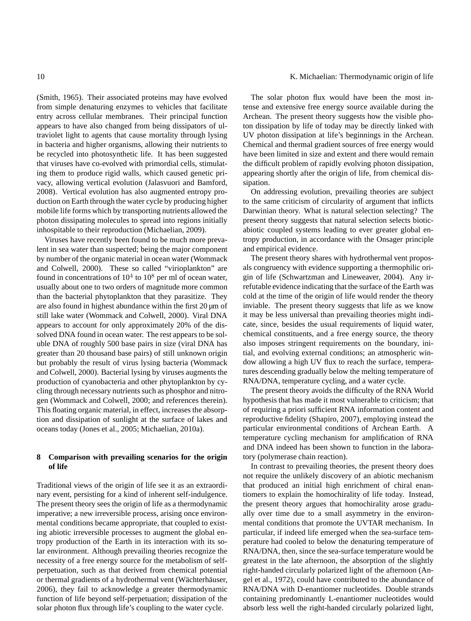(Smith, 1965). Their associated proteins may have evolved from simple denaturing enzymes to vehicles that facilitate entry across cellular membranes. Their principal function appears to have also changed from being dissipators of ultraviolet light to agents that cause mortality through lysing in bacteria and higher organisms, allowing their nutrients to be recycled into photosynthetic life. It has been suggested that viruses have co-evolved with primordial cells, stimulating them to produce rigid walls, which caused genetic privacy, allowing vertical evolution (Jalasvuori and Bamford, 2008). Vertical evolution has also augmented entropy production on Earth through the water cycle by producing higher mobile life forms which by transporting nutrients allowed the photon dissipating molecules to spread into regions initially inhospitable to their reproduction (Michaelian, 2009).

Viruses have recently been found to be much more prevalent in sea water than suspected; being the major component by number of the organic material in ocean water (Wommack and Colwell, 2000). These so called "virioplankton" are found in concentrations of  $10^4$  to  $10^8$  per ml of ocean water, usually about one to two orders of magnitude more common than the bacterial phytoplankton that they parasitize. They are also found in highest abundance within the first  $20 \mu m$  of still lake water (Wommack and Colwell, 2000). Viral DNA appears to account for only approximately 20% of the dissolved DNA found in ocean water. The rest appears to be soluble DNA of roughly 500 base pairs in size (viral DNA has greater than 20 thousand base pairs) of still unknown origin but probably the result of virus lysing bacteria (Wommack and Colwell, 2000). Bacterial lysing by viruses augments the production of cyanobacteria and other phytoplankton by cycling through necessary nutrients such as phosphor and nitrogen (Wommack and Colwell, 2000; and references therein). This floating organic material, in effect, increases the absorption and dissipation of sunlight at the surface of lakes and oceans today (Jones et al., 2005; Michaelian, 2010a).

# **8 Comparison with prevailing scenarios for the origin of life**

Traditional views of the origin of life see it as an extraordinary event, persisting for a kind of inherent self-indulgence. The present theory sees the origin of life as a thermodynamic imperative; a new irreversible process, arising once environmental conditions became appropriate, that coupled to existing abiotic irreversible processes to augment the global entropy production of the Earth in its interaction with its solar environment. Although prevailing theories recognize the necessity of a free energy source for the metabolism of selfperpetuation, such as that derived from chemical potential or thermal gradients of a hydrothermal vent (Wächterhäuser, 2006), they fail to acknowledge a greater thermodynamic function of life beyond self-perpetuation; dissipation of the solar photon flux through life's coupling to the water cycle.

## 10 K. Michaelian: Thermodynamic origin of life

The solar photon flux would have been the most intense and extensive free energy source available during the Archean. The present theory suggests how the visible photon dissipation by life of today may be directly linked with UV photon dissipation at life's beginnings in the Archean. Chemical and thermal gradient sources of free energy would have been limited in size and extent and there would remain the difficult problem of rapidly evolving photon dissipation, appearing shortly after the origin of life, from chemical dissipation.

On addressing evolution, prevailing theories are subject to the same criticism of circularity of argument that inflicts Darwinian theory. What is natural selection selecting? The present theory suggests that natural selection selects bioticabiotic coupled systems leading to ever greater global entropy production, in accordance with the Onsager principle and empirical evidence.

The present theory shares with hydrothermal vent proposals congruency with evidence supporting a thermophilic origin of life (Schwartzman and Lineweaver, 2004). Any irrefutable evidence indicating that the surface of the Earth was cold at the time of the origin of life would render the theory inviable. The present theory suggests that life as we know it may be less universal than prevailing theories might indicate, since, besides the usual requirements of liquid water, chemical constituents, and a free energy source, the theory also imposes stringent requirements on the boundary, initial, and evolving external conditions; an atmospheric window allowing a high UV flux to reach the surface, temperatures descending gradually below the melting temperature of RNA/DNA, temperature cycling, and a water cycle.

The present theory avoids the difficulty of the RNA World hypothesis that has made it most vulnerable to criticism; that of requiring a priori sufficient RNA information content and reproductive fidelity (Shapiro, 2007), employing instead the particular environmental conditions of Archean Earth. A temperature cycling mechanism for amplification of RNA and DNA indeed has been shown to function in the laboratory (polymerase chain reaction).

In contrast to prevailing theories, the present theory does not require the unlikely discovery of an abiotic mechanism that produced an initial high enrichment of chiral enantiomers to explain the homochirality of life today. Instead, the present theory argues that homochirality arose gradually over time due to a small asymmetry in the environmental conditions that promote the UVTAR mechanism. In particular, if indeed life emerged when the sea-surface temperature had cooled to below the denaturing temperature of RNA/DNA, then, since the sea-surface temperature would be greatest in the late afternoon, the absorption of the slightly right-handed circularly polarized light of the afternoon (Angel et al., 1972), could have contributed to the abundance of RNA/DNA with D-enantiomer nucleotides. Double strands containing predominantly L-enantiomer nucleotides would absorb less well the right-handed circularly polarized light,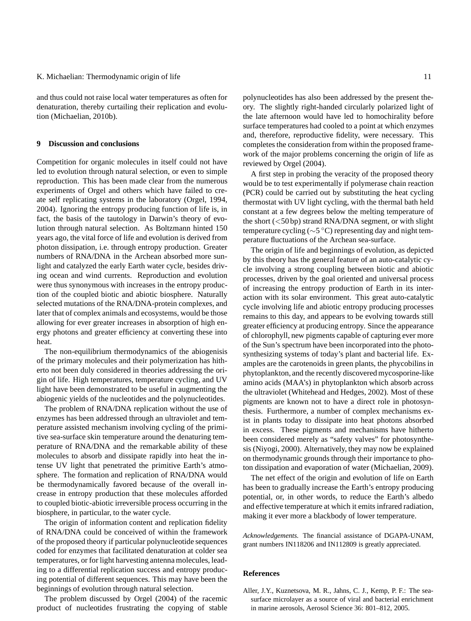and thus could not raise local water temperatures as often for denaturation, thereby curtailing their replication and evolution (Michaelian, 2010b).

# **9 Discussion and conclusions**

Competition for organic molecules in itself could not have led to evolution through natural selection, or even to simple reproduction. This has been made clear from the numerous experiments of Orgel and others which have failed to create self replicating systems in the laboratory (Orgel, 1994, 2004). Ignoring the entropy producing function of life is, in fact, the basis of the tautology in Darwin's theory of evolution through natural selection. As Boltzmann hinted 150 years ago, the vital force of life and evolution is derived from photon dissipation, i.e. through entropy production. Greater numbers of RNA/DNA in the Archean absorbed more sunlight and catalyzed the early Earth water cycle, besides driving ocean and wind currents. Reproduction and evolution were thus synonymous with increases in the entropy production of the coupled biotic and abiotic biosphere. Naturally selected mutations of the RNA/DNA-protein complexes, and later that of complex animals and ecosystems, would be those allowing for ever greater increases in absorption of high energy photons and greater efficiency at converting these into heat.

The non-equilibrium thermodynamics of the abiogenisis of the primary molecules and their polymerization has hitherto not been duly considered in theories addressing the origin of life. High temperatures, temperature cycling, and UV light have been demonstrated to be useful in augmenting the abiogenic yields of the nucleotides and the polynucleotides.

The problem of RNA/DNA replication without the use of enzymes has been addressed through an ultraviolet and temperature assisted mechanism involving cycling of the primitive sea-surface skin temperature around the denaturing temperature of RNA/DNA and the remarkable ability of these molecules to absorb and dissipate rapidly into heat the intense UV light that penetrated the primitive Earth's atmosphere. The formation and replication of RNA/DNA would be thermodynamically favored because of the overall increase in entropy production that these molecules afforded to coupled biotic-abiotic irreversible process occurring in the biosphere, in particular, to the water cycle.

The origin of information content and replication fidelity of RNA/DNA could be conceived of within the framework of the proposed theory if particular polynucleotide sequences coded for enzymes that facilitated denaturation at colder sea temperatures, or for light harvesting antenna molecules, leading to a differential replication success and entropy producing potential of different sequences. This may have been the beginnings of evolution through natural selection.

The problem discussed by Orgel (2004) of the racemic product of nucleotides frustrating the copying of stable polynucleotides has also been addressed by the present theory. The slightly right-handed circularly polarized light of the late afternoon would have led to homochirality before surface temperatures had cooled to a point at which enzymes and, therefore, reproductive fidelity, were necessary. This completes the consideration from within the proposed framework of the major problems concerning the origin of life as reviewed by Orgel (2004).

A first step in probing the veracity of the proposed theory would be to test experimentally if polymerase chain reaction (PCR) could be carried out by substituting the heat cycling thermostat with UV light cycling, with the thermal bath held constant at a few degrees below the melting temperature of the short  $(<50 bp)$  strand RNA/DNA segment, or with slight temperature cycling (∼5 ◦C) representing day and night temperature fluctuations of the Archean sea-surface.

The origin of life and beginnings of evolution, as depicted by this theory has the general feature of an auto-catalytic cycle involving a strong coupling between biotic and abiotic processes, driven by the goal oriented and universal process of increasing the entropy production of Earth in its interaction with its solar environment. This great auto-catalytic cycle involving life and abiotic entropy producing processes remains to this day, and appears to be evolving towards still greater efficiency at producing entropy. Since the appearance of chlorophyll, new pigments capable of capturing ever more of the Sun's spectrum have been incorporated into the photosynthesizing systems of today's plant and bacterial life. Examples are the carotenoids in green plants, the phycobilinsin phytoplankton, and the recently discovered mycosporine-like amino acids (MAA's) in phytoplankton which absorb across the ultraviolet (Whitehead and Hedges, 2002). Most of these pigments are known not to have a direct role in photosynthesis. Furthermore, a number of complex mechanisms exist in plants today to dissipate into heat photons absorbed in excess. These pigments and mechanisms have hitherto been considered merely as "safety valves" for photosynthesis (Niyogi, 2000). Alternatively, they may now be explained on thermodynamic grounds through their importance to photon dissipation and evaporation of water (Michaelian, 2009).

The net effect of the origin and evolution of life on Earth has been to gradually increase the Earth's entropy producing potential, or, in other words, to reduce the Earth's albedo and effective temperature at which it emits infrared radiation, making it ever more a blackbody of lower temperature.

*Acknowledgements.* The financial assistance of DGAPA-UNAM, grant numbers IN118206 and IN112809 is greatly appreciated.

# **References**

Aller, J.Y., Kuznetsova, M. R., Jahns, C. J., Kemp, P. F.: The seasurface microlayer as a source of viral and bacterial enrichment in marine aerosols, Aerosol Science 36: 801–812, 2005.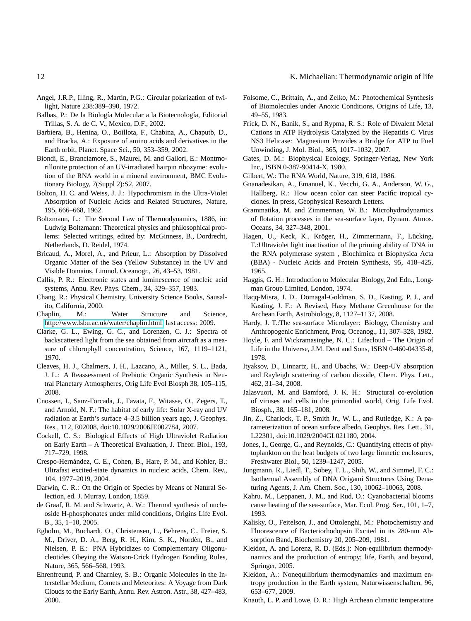- Angel, J.R.P., Illing, R., Martin, P.G.: Circular polarization of twilight, Nature 238:389–390, 1972.
- Balbas, P.: De la Biología Molecular a la Biotecnología, Editorial Trillas, S. A. de C. V., Mexico, D.F., 2002.
- Barbiera, B., Henina, O., Boillota, F., Chabina, A., Chaputb, D., and Bracka, A.: Exposure of amino acids and derivatives in the Earth orbit, Planet. Space Sci., 50, 353–359, 2002.
- Biondi, E., Branciamore, S., Maurel, M. and Gallori, E.: Montmorillonite protection of an UV-irradiated hairpin ribozyme: evolution of the RNA world in a mineral environment, BMC Evolutionary Biology, 7(Suppl 2):S2, 2007.
- Bolton, H. C. and Weiss, J. J.: Hypochromism in the Ultra-Violet Absorption of Nucleic Acids and Related Structures, Nature, 195, 666–668, 1962.
- Boltzmann, L.: The Second Law of Thermodynamics, 1886, in: Ludwig Boltzmann: Theoretical physics and philosophical problems: Selected writings, edited by: McGinness, B., Dordrecht, Netherlands, D. Reidel, 1974.
- Bricaud, A., Morel, A., and Prieur, L.: Absorption by Dissolved Organic Matter of the Sea (Yellow Substance) in the UV and Visible Domains, Limnol. Oceanogr., 26, 43–53, 1981.
- Callis, P. R.: Electronic states and luminescence of nucleic acid systems, Annu. Rev. Phys. Chem., 34, 329–357, 1983.
- Chang, R.: Physical Chemistry, University Science Books, Sausalito, California, 2000.
- Chaplin, M.: Water Structure and Science, [http://www.lsbu.ac.uk/water/chaplin.html,](http://www.lsbu.ac.uk/water/chaplin.html) last access: 2009.
- Clarke, G. L., Ewing, G. C., and Lorenzen, C. J.: Spectra of backscattered light from the sea obtained from aircraft as a measure of chlorophyll concentration, Science, 167, 1119–1121, 1970.
- Cleaves, H. J., Chalmers, J. H., Lazcano, A., Miller, S. L., Bada, J. L.: A Reassessment of Prebiotic Organic Synthesis in Neutral Planetary Atmospheres, Orig Life Evol Biosph 38, 105–115, 2008.
- Cnossen, I., Sanz-Forcada, J., Favata, F., Witasse, O., Zegers, T., and Arnold, N. F.: The habitat of early life: Solar X-ray and UV radiation at Earth's surface 4–3.5 billion years ago, J. Geophys. Res., 112, E02008, doi:10.1029/2006JE002784, 2007.
- Cockell, C. S.: Biological Effects of High Ultraviolet Radiation on Early Earth – A Theoretical Evaluation, J. Theor. Biol., 193, 717–729, 1998.
- Crespo-Hernández, C. E., Cohen, B., Hare, P. M., and Kohler, B.: Ultrafast excited-state dynamics in nucleic acids, Chem. Rev., 104, 1977–2019, 2004.
- Darwin, C. R.: On the Origin of Species by Means of Natural Selection, ed. J. Murray, London, 1859.
- de Graaf, R. M. and Schwartz, A. W.: Thermal synthesis of nucleoside H-phosphonates under mild conditions, Origins Life Evol. B., 35, 1–10, 2005.
- Egholm, M., Buchardt, O., Christensen, L., Behrens, C., Freier, S. M., Driver, D. A., Berg, R. H., Kim, S. K., Nordén, B., and Nielsen, P. E.: PNA Hybridizes to Complementary Oligonucleotides Obeying the Watson-Crick Hydrogen Bonding Rules, Nature, 365, 566–568, 1993.
- Ehrenfreund, P. and Charnley, S. B.: Organic Molecules in the Interstellar Medium, Comets and Meteorites: A Voyage from Dark Clouds to the Early Earth, Annu. Rev. Astron. Astr., 38, 427–483, 2000.
- Folsome, C., Brittain, A., and Zelko, M.: Photochemical Synthesis of Biomolecules under Anoxic Conditions, Origins of Life, 13, 49–55, 1983.
- Frick, D. N., Banik, S., and Rypma, R. S.: Role of Divalent Metal Cations in ATP Hydrolysis Catalyzed by the Hepatitis C Virus NS3 Helicase: Magnesium Provides a Bridge for ATP to Fuel Unwinding, J. Mol. Biol., 365, 1017–1032, 2007.
- Gates, D. M.: Biophysical Ecology, Springer-Verlag, New York Inc., ISBN 0-387-90414-X, 1980.
- Gilbert, W.: The RNA World, Nature, 319, 618, 1986.
- Gnanadesikan, A., Emanuel, K., Vecchi, G. A., Anderson, W. G., Hallberg, R.: How ocean color can steer Pacific tropical cyclones. In press, Geophysical Research Letters.
- Grammatika, M. and Zimmerman, W. B.: Microhydrodynamics of flotation processes in the sea-surface layer, Dynam. Atmos. Oceans, 34, 327–348, 2001.
- Hagen, U., Keck, K., Kröger, H., Zimmermann, F., Lücking, T.:Ultraviolet light inactivation of the priming ability of DNA in the RNA polymerase system , Biochimica et Biophysica Acta (BBA) - Nucleic Acids and Protein Synthesis, 95, 418–425, 1965.
- Haggis, G. H.: Introduction to Molecular Biology, 2nd Edn., Longman Group Limited, London, 1974.
- Haqq-Misra, J. D., Domagal-Goldman, S. D., Kasting, P. J., and Kasting, J. F.: A Revised, Hazy Methane Greenhouse for the Archean Earth, Astrobiology, 8, 1127–1137, 2008.
- Hardy, J. T.:The sea-surface Microlayer: Biology, Chemistry and Anthropogenic Enrichment, Prog. Oceanog., 11, 307–328, 1982.
- Hoyle, F. and Wickramasinghe, N. C.: Lifecloud The Origin of Life in the Universe, J.M. Dent and Sons, ISBN 0-460-04335-8, 1978.
- Ityaksov, D., Linnartz, H., and Ubachs, W.: Deep-UV absorption and Rayleigh scattering of carbon dioxide, Chem. Phys. Lett., 462, 31–34, 2008.
- Jalasvuori, M. and Bamford, J. K. H.: Structural co-evolution of viruses and cells in the primordial world, Orig. Life Evol. Biosph., 38, 165–181, 2008.
- Jin, Z., Charlock, T. P., Smith Jr., W. L., and Rutledge, K.: A parameterization of ocean surface albedo, Geophys. Res. Lett., 31, L22301, doi:10.1029/2004GL021180, 2004.
- Jones, I., George, G., and Reynolds, C.: Quantifying effects of phytoplankton on the heat budgets of two large limnetic enclosures, Freshwater Biol., 50, 1239–1247, 2005.
- Jungmann, R., Liedl, T., Sobey, T. L., Shih, W., and Simmel, F. C.: Isothermal Assembly of DNA Origami Structures Using Denaturing Agents, J. Am. Chem. Soc., 130, 10062–10063, 2008.
- Kahru, M., Leppanen, J. M., and Rud, O.: Cyanobacterial blooms cause heating of the sea-surface, Mar. Ecol. Prog. Ser., 101, 1–7, 1993.
- Kalisky, O., Feitelson, J., and Ottolenghi, M.: Photochemistry and Fluorescence of Bacteriorhodopsin Excited in its 280-nm Absorption Band, Biochemistry 20, 205–209, 1981.
- Kleidon, A. and Lorenz, R. D. (Eds.): Non-equilibrium thermodynamics and the production of entropy; life, Earth, and beyond, Springer, 2005.
- Kleidon, A.: Nonequilibrium thermodynamics and maximum entropy production in the Earth system, Naturwissenschaften, 96, 653–677, 2009.
- Knauth, L. P. and Lowe, D. R.: High Archean climatic temperature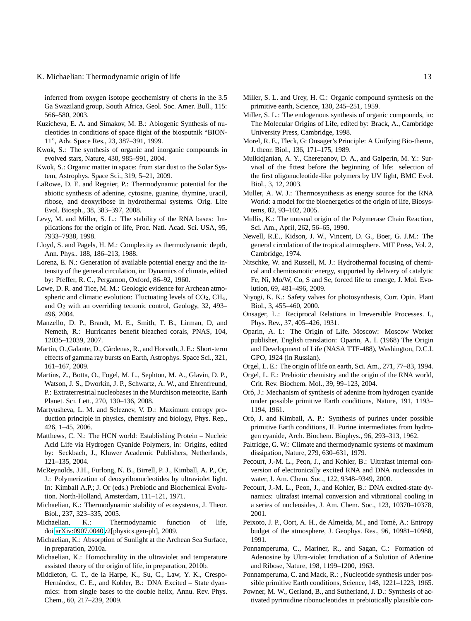inferred from oxygen isotope geochemistry of cherts in the 3.5 Ga Swaziland group, South Africa, Geol. Soc. Amer. Bull., 115: 566–580, 2003.

- Kuzicheva, E. A. and Simakov, M. B.: Abiogenic Synthesis of nucleotides in conditions of space flight of the biosputnik "BION-11", Adv. Space Res., 23, 387–391, 1999.
- Kwok, S.: The synthesis of organic and inorganic compounds in evolved stars, Nature, 430, 985–991, 2004.
- Kwok, S.: Organic matter in space: from star dust to the Solar System, Astrophys. Space Sci., 319, 5–21, 2009.
- LaRowe, D. E. and Regnier, P.: Thermodynamic potential for the abiotic synthesis of adenine, cytosine, guanine, thymine, uracil, ribose, and deoxyribose in hydrothermal systems. Orig. Life Evol. Biosph., 38, 383–397, 2008.
- Levy, M. and Miller, S. L.: The stability of the RNA bases: Implications for the origin of life, Proc. Natl. Acad. Sci. USA, 95, 7933–7938, 1998.
- Lloyd, S. and Pagels, H. M.: Complexity as thermodynamic depth, Ann. Phys.. 188, 186–213, 1988.
- Lorenz, E. N.: Generation of available potential energy and the intensity of the general circulation, in: Dynamics of climate, edited by: Pfeffer, R. C., Pergamon, Oxford, 86–92, 1960.
- Lowe, D. R. and Tice, M. M.: Geologic evidence for Archean atmospheric and climatic evolution: Fluctuating levels of  $CO<sub>2</sub>$ ,  $CH<sub>4</sub>$ , and O<sup>2</sup> with an overriding tectonic control, Geology, 32, 493– 496, 2004.
- Manzello, D. P., Brandt, M. E., Smith, T. B., Lirman, D, and Nemeth, R.: Hurricanes benefit bleached corals, PNAS, 104, 12035–12039, 2007.
- Martín, O.,Galante, D., Cárdenas, R., and Horvath, J. E.: Short-term effects of gamma ray bursts on Earth, Astrophys. Space Sci., 321, 161–167, 2009.
- Martins, Z., Botta, O., Fogel, M. L., Sephton, M. A., Glavin, D. P., Watson, J. S., Dworkin, J. P., Schwartz, A. W., and Ehrenfreund, P.: Extraterrestrial nucleobases in the Murchison meteorite, Earth Planet. Sci. Lett., 270, 130–136, 2008.
- Martyusheva, L. M. and Seleznev, V. D.: Maximum entropy production principle in physics, chemistry and biology, Phys. Rep., 426, 1–45, 2006.
- Matthews, C. N.: The HCN world: Establishing Protein Nucleic Acid Life via Hydrogen Cyanide Polymers, in: Origins, edited by: Seckbach, J., Kluwer Academic Publishers, Netherlands, 121–135, 2004.
- McReynolds, J.H., Furlong, N. B., Birrell, P. J., Kimball, A. P., Or, J.: Polymerization of deoxyribonucleotides by ultraviolet light. In: Kimball A.P.; J. Or (eds.) Prebiotic and Biochemical Evolution. North-Holland, Amsterdam, 111–121, 1971.
- Michaelian, K.: Thermodynamic stability of ecosystems, J. Theor. Biol., 237, 323–335, 2005.
- Michaelian, K.: Thermodynamic function of life, doi[:arXiv:0907.0040v](http://arxiv.org/abs/0907.0040)2[physics.gen-ph], 2009.
- Michaelian, K.: Absorption of Sunlight at the Archean Sea Surface, in preparation, 2010a.
- Michaelian, K.: Homochirality in the ultraviolet and temperature assisted theory of the origin of life, in preparation, 2010b.
- Middleton, C. T., de la Harpe, K., Su, C., Law, Y. K., Crespo-Hernández, C. E., and Kohler, B.: DNA Excited - State dyanmics: from single bases to the double helix, Annu. Rev. Phys. Chem., 60, 217–239, 2009.
- Miller, S. L. and Urey, H. C.: Organic compound synthesis on the primitive earth, Science, 130, 245–251, 1959.
- Miller, S. L.: The endogenous synthesis of organic compounds, in: The Molecular Origins of Life, edited by: Brack, A., Cambridge University Press, Cambridge, 1998.
- Morel, R. E., Fleck, G: Onsager's Principle: A Unifying Bio-theme, J. theor. Biol., 136, 171–175, 1989.
- Mulkidjanian, A. Y., Cherepanov, D. A., and Galperin, M. Y.: Survival of the fittest before the beginning of life: selection of the first oligonucleotide-like polymers by UV light, BMC Evol. Biol., 3, 12, 2003.
- Muller, A. W. J.: Thermosynthesis as energy source for the RNA World: a model for the bioenergetics of the origin of life, Biosystems, 82, 93–102, 2005.
- Mullis, K.: The unusual origin of the Polymerase Chain Reaction, Sci. Am., April, 262, 56–65, 1990.
- Newell, R.E., Kidson, J. W., Vincent, D. G., Boer, G. J.M.: The general circulation of the tropical atmosphere. MIT Press, Vol. 2, Cambridge, 1974.
- Nitschke, W. and Russell, M. J.: Hydrothermal focusing of chemical and chemiosmotic energy, supported by delivery of catalytic Fe, Ni, Mo/W, Co, S and Se, forced life to emerge, J. Mol. Evolution, 69, 481–496, 2009.
- Niyogi, K. K.: Safety valves for photosynthesis, Curr. Opin. Plant Biol., 3, 455–460, 2000.
- Onsager, L.: Reciprocal Relations in Irreversible Processes. I., Phys. Rev., 37, 405–426, 1931.
- Oparin, A. I.: The Origin of Life. Moscow: Moscow Worker publisher, English translation: Oparin, A. I. (1968) The Origin and Development of Life (NASA TTF-488), Washington, D.C.L GPO, 1924 (in Russian).
- Orgel, L. E.: The origin of life on earth, Sci. Am., 271, 77–83, 1994.
- Orgel, L. E.: Prebiotic chemistry and the origin of the RNA world, Crit. Rev. Biochem. Mol., 39, 99–123, 2004.
- Oró, J.: Mechanism of synthesis of adenine from hydrogen cyanide under possible primitive Earth conditions, Nature, 191, 1193– 1194, 1961.
- Oró, J. and Kimball, A. P.: Synthesis of purines under possible primitive Earth conditions, II. Purine intermediates from hydrogen cyanide, Arch. Biochem. Biophys., 96, 293–313, 1962.
- Paltridge, G. W.: Climate and thermodynamic systems of maximum dissipation, Nature, 279, 630–631, 1979.
- Pecourt, J.-M. L., Peon, J., and Kohler, B.: Ultrafast internal conversion of electronically excited RNA and DNA nucleosides in water, J. Am. Chem. Soc., 122, 9348–9349, 2000.
- Pecourt, J.-M. L., Peon, J., and Kohler, B.: DNA excited-state dynamics: ultrafast internal conversion and vibrational cooling in a series of nucleosides, J. Am. Chem. Soc., 123, 10370–10378, 2001.
- Peixoto, J. P., Oort, A. H., de Almeida, M., and Tomé, A.: Entropy budget of the atmosphere, J. Geophys. Res., 96, 10981–10988, 1991.
- Ponnamperuma, C., Mariner, R., and Sagan, C.: Formation of Adenosine by Ultra-violet Irradiation of a Solution of Adenine and Ribose, Nature, 198, 1199–1200, 1963.
- Ponnamperuma, C. and Mack, R.: , Nucleotide synthesis under possible primitive Earth conditions, Science, 148, 1221–1223, 1965.
- Powner, M. W., Gerland, B., and Sutherland, J. D.: Synthesis of activated pyrimidine ribonucleotides in prebiotically plausible con-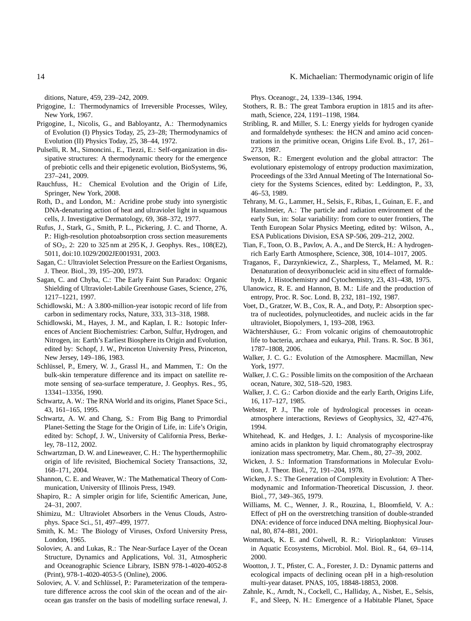ditions, Nature, 459, 239–242, 2009.

- Prigogine, I.: Thermodynamics of Irreversible Processes, Wiley, New York, 1967.
- Prigogine, I., Nicolis, G., and Babloyantz, A.: Thermodynamics of Evolution (I) Physics Today, 25, 23–28; Thermodynamics of Evolution (II) Physics Today, 25, 38–44, 1972.
- Pulselli, R. M., Simoncini., E., Tiezzi, E.: Self-organization in dissipative structures: A thermodynamic theory for the emergence of prebiotic cells and their epigenetic evolution, BioSystems, 96, 237–241, 2009.
- Rauchfuss, H.: Chemical Evolution and the Origin of Life, Springer, New York, 2008.
- Roth, D., and London, M.: Acridine probe study into synergistic DNA-denaturing action of heat and ultraviolet light in squamous cells, J. Investigative Dermatology, 69, 368–372, 1977.
- Rufus, J., Stark, G., Smith, P. L., Pickering, J. C. and Thorne, A. P.: High-resolution photoabsorption cross section measurements of SO2, 2: 220 to 325 nm at 295 K, J. Geophys. Res., 108(E2), 5011, doi:10.1029/2002JE001931, 2003.
- Sagan, C.: Ultraviolet Selection Pressure on the Earliest Organisms, J. Theor. Biol., 39, 195–200, 1973.
- Sagan, C. and Chyba, C.: The Early Faint Sun Paradox: Organic Shielding of Ultraviolet-Labile Greenhouse Gases, Science, 276, 1217–1221, 1997.
- Schidlowski, M.: A 3.800-million-year isotopic record of life from carbon in sedimentary rocks, Nature, 333, 313–318, 1988.
- Schidlowski, M., Hayes, J. M., and Kaplan, I. R.: Isotopic Inferences of Ancient Biochemistries: Carbon, Sulfur, Hydrogen, and Nitrogen, in: Earth's Earliest Biosphere its Origin and Evolution, edited by: Schopf, J. W., Princeton University Press, Princeton, New Jersey, 149–186, 1983.
- Schlüssel, P., Emery, W. J., Grassl H., and Mammen, T.: On the bulk-skin temperature difference and its impact on satellite remote sensing of sea-surface temperature, J. Geophys. Res., 95, 13341–13356, 1990.
- Schwartz, A. W.: The RNA World and its origins, Planet Space Sci., 43, 161–165, 1995.
- Schwartz, A. W. and Chang, S.: From Big Bang to Primordial Planet-Setting the Stage for the Origin of Life, in: Life's Origin, edited by: Schopf, J. W., University of California Press, Berkeley, 78–112, 2002.
- Schwartzman, D. W. and Lineweaver, C. H.: The hyperthermophilic origin of life revisited, Biochemical Society Transactions, 32, 168–171, 2004.
- Shannon, C. E. and Weaver, W.: The Mathematical Theory of Communication, University of Illinois Press, 1949.
- Shapiro, R.: A simpler origin for life, Scientific American, June, 24–31, 2007.
- Shimizu, M.: Ultraviolet Absorbers in the Venus Clouds, Astrophys. Space Sci., 51, 497–499, 1977.
- Smith, K. M.: The Biology of Viruses, Oxford University Press, London, 1965.
- Soloviev, A. and Lukas, R.: The Near-Surface Layer of the Ocean Structure, Dynamics and Applications, Vol. 31, Atmospheric and Oceanographic Science Library, ISBN 978-1-4020-4052-8 (Print), 978-1-4020-4053-5 (Online), 2006.
- Soloviev, A. V. and Schlüssel, P.: Parameterization of the temperature difference across the cool skin of the ocean and of the airocean gas transfer on the basis of modelling surface renewal, J.

Phys. Oceanogr., 24, 1339–1346, 1994.

- Stothers, R. B.: The great Tambora eruption in 1815 and its aftermath, Science, 224, 1191–1198, 1984.
- Stribling, R. and Miller, S. L: Energy yields for hydrogen cyanide and formaldehyde syntheses: the HCN and amino acid concentrations in the primitive ocean, Origins Life Evol. B., 17, 261– 273, 1987.
- Swenson, R.: Emergent evolution and the global attractor: The evolutionary epistemology of entropy production maximization, Proceedings of the 33rd Annual Meeting of The International Society for the Systems Sciences, edited by: Leddington, P., 33, 46–53, 1989.
- Tehrany, M. G., Lammer, H., Selsis, F., Ribas, I., Guinan, E. F., and Hanslmeier, A.: The particle and radiation environment of the early Sun, in: Solar variability: from core to outer frontiers, The Tenth European Solar Physics Meeting, edited by: Wilson, A., ESA Publications Division, ESA SP-506, 209–212, 2002.
- Tian, F., Toon, O. B., Pavlov, A. A., and De Sterck, H.: A hydrogenrich Early Earth Atmosphere, Science, 308, 1014–1017, 2005.
- Traganos, F., Darzynkiewicz, Z., Sharpless, T., Melamed, M. R.: Denaturation of deoxyribonucleic acid in situ effect of formaldehyde, J. Histochemistry and Cytochemistry, 23, 431–438, 1975.
- Ulanowicz, R. E. and Hannon, B. M.: Life and the production of entropy, Proc. R. Soc. Lond. B, 232, 181–192, 1987.
- Voet, D., Gratzer, W. B., Cox, R. A., and Doty, P.: Absorption spectra of nucleotides, polynucleotides, and nucleic acids in the far ultraviolet, Biopolymers, 1, 193–208, 1963.
- Wächtershäuser, G.: From volcanic origins of chemoautotrophic life to bacteria, archaea and eukarya, Phil. Trans. R. Soc. B 361, 1787–1808, 2006.
- Walker, J. C. G.: Evolution of the Atmosphere. Macmillan, New York, 1977.
- Walker, J. C. G.: Possible limits on the composition of the Archaean ocean, Nature, 302, 518–520, 1983.
- Walker, J. C. G.: Carbon dioxide and the early Earth, Origins Life, 16, 117–127, 1985.
- Webster, P. J., The role of hydrological processes in oceanatmosphere interactions, Reviews of Geophysics, 32, 427-476, 1994.
- Whitehead, K. and Hedges, J. I.: Analysis of mycosporine-like amino acids in plankton by liquid chromatography electrospray ionization mass spectrometry, Mar. Chem., 80, 27–39, 2002.
- Wicken, J. S.: Information Transformations in Molecular Evolution, J. Theor. Biol., 72, 191–204, 1978.
- Wicken, J. S.: The Generation of Complexity in Evolution: A Thermodynamic and Information-Theoretical Discussion, J. theor. Biol., 77, 349–365, 1979.
- Williams, M. C., Wenner, J. R., Rouzina, I., Bloomfield, V. A.: Effect of pH on the overstretching transition of double-stranded DNA: evidence of force induced DNA melting. Biophysical Journal, 80, 874–881, 2001.
- Wommack, K. E. and Colwell, R. R.: Virioplankton: Viruses in Aquatic Ecosystems, Microbiol. Mol. Biol. R., 64, 69–114, 2000.
- Wootton, J. T., Pfister, C. A., Forester, J. D.: Dynamic patterns and ecological impacts of declining ocean pH in a high-resolution multi-year dataset. PNAS, 105, 18848-18853, 2008.
- Zahnle, K., Arndt, N., Cockell, C., Halliday, A., Nisbet, E., Selsis, F., and Sleep, N. H.: Emergence of a Habitable Planet, Space